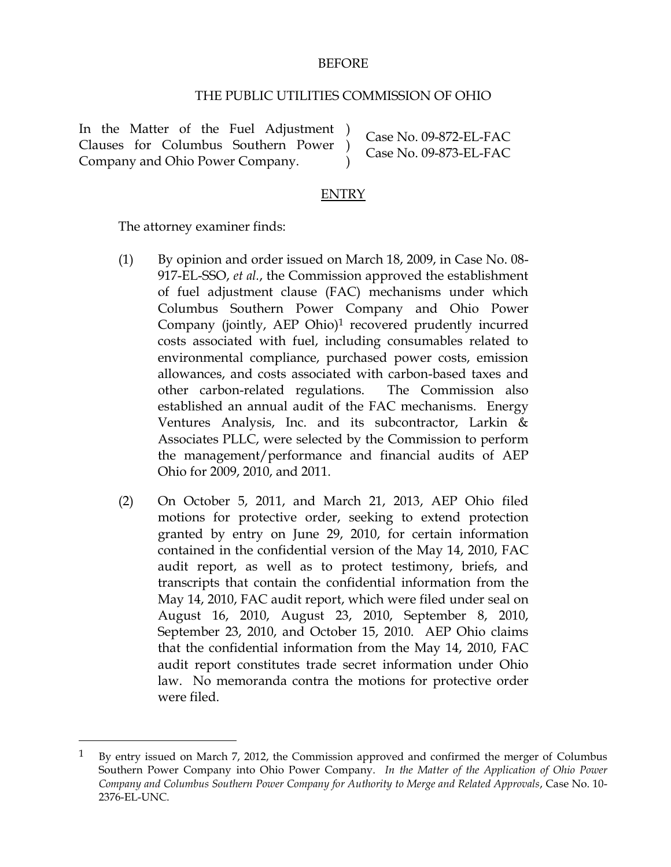## BEFORE

## THE PUBLIC UTILITIES COMMISSION OF OHIO

In the Matter of the Fuel Adjustment ) Clauses for Columbus Southern Power ) Company and Ohio Power Company.

Case No. 09-872-EL-FAC Case No. 09-873-EL-FAC

### ENTRY

)

The attorney examiner finds:

 $\overline{a}$ 

- (1) By opinion and order issued on March 18, 2009, in Case No. 08- 917-EL-SSO, *et al.*, the Commission approved the establishment of fuel adjustment clause (FAC) mechanisms under which Columbus Southern Power Company and Ohio Power Company (jointly, AEP Ohio)1 recovered prudently incurred costs associated with fuel, including consumables related to environmental compliance, purchased power costs, emission allowances, and costs associated with carbon-based taxes and other carbon-related regulations. The Commission also established an annual audit of the FAC mechanisms. Energy Ventures Analysis, Inc. and its subcontractor, Larkin  $\&$ Associates PLLC, were selected by the Commission to perform the management/performance and financial audits of AEP Ohio for 2009, 2010, and 2011.
- (2) On October 5, 2011, and March 21, 2013, AEP Ohio filed motions for protective order, seeking to extend protection granted by entry on June 29, 2010, for certain information contained in the confidential version of the May 14, 2010, FAC audit report, as well as to protect testimony, briefs, and transcripts that contain the confidential information from the May 14, 2010, FAC audit report, which were filed under seal on August 16, 2010, August 23, 2010, September 8, 2010, September 23, 2010, and October 15, 2010. AEP Ohio claims that the confidential information from the May 14, 2010, FAC audit report constitutes trade secret information under Ohio law. No memoranda contra the motions for protective order were filed.

 $1$  By entry issued on March 7, 2012, the Commission approved and confirmed the merger of Columbus Southern Power Company into Ohio Power Company. *In the Matter of the Application of Ohio Power Company and Columbus Southern Power Company for Authority to Merge and Related Approvals*, Case No. 10- 2376-EL-UNC.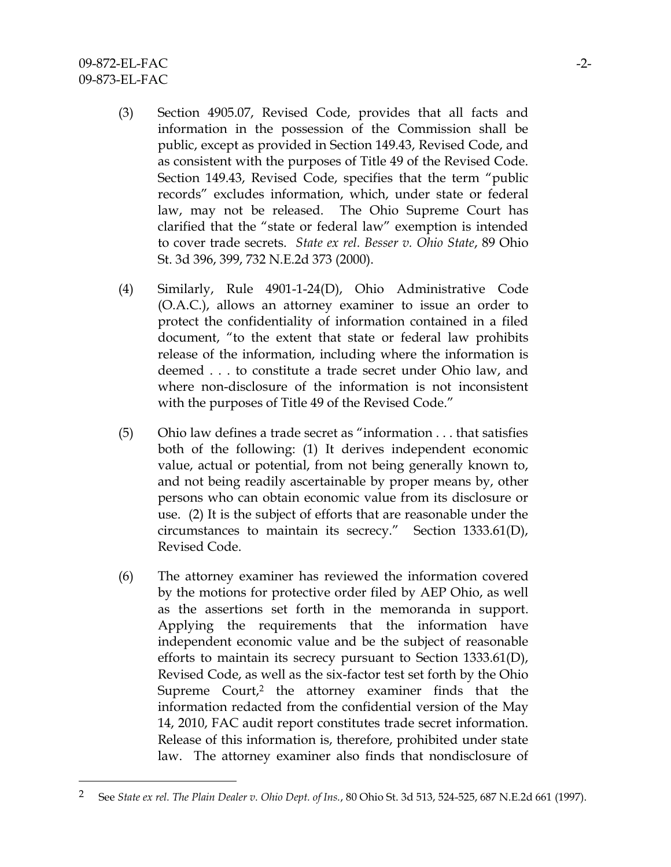$\overline{a}$ 

- (3) Section 4905.07, Revised Code, provides that all facts and information in the possession of the Commission shall be public, except as provided in Section 149.43, Revised Code, and as consistent with the purposes of Title 49 of the Revised Code. Section 149.43, Revised Code, specifies that the term "public records" excludes information, which, under state or federal law, may not be released. The Ohio Supreme Court has clarified that the "state or federal law" exemption is intended to cover trade secrets. *State ex rel. Besser v. Ohio State*, 89 Ohio St. 3d 396, 399, 732 N.E.2d 373 (2000).
- (4) Similarly, Rule 4901-1-24(D), Ohio Administrative Code (O.A.C.), allows an attorney examiner to issue an order to protect the confidentiality of information contained in a filed document, "to the extent that state or federal law prohibits release of the information, including where the information is deemed . . . to constitute a trade secret under Ohio law, and where non-disclosure of the information is not inconsistent with the purposes of Title 49 of the Revised Code."
- (5) Ohio law defines a trade secret as "information . . . that satisfies both of the following: (1) It derives independent economic value, actual or potential, from not being generally known to, and not being readily ascertainable by proper means by, other persons who can obtain economic value from its disclosure or use. (2) It is the subject of efforts that are reasonable under the circumstances to maintain its secrecy." Section 1333.61(D), Revised Code.
- (6) The attorney examiner has reviewed the information covered by the motions for protective order filed by AEP Ohio, as well as the assertions set forth in the memoranda in support. Applying the requirements that the information have independent economic value and be the subject of reasonable efforts to maintain its secrecy pursuant to Section 1333.61(D), Revised Code, as well as the six-factor test set forth by the Ohio Supreme Court,<sup>2</sup> the attorney examiner finds that the information redacted from the confidential version of the May 14, 2010, FAC audit report constitutes trade secret information. Release of this information is, therefore, prohibited under state law. The attorney examiner also finds that nondisclosure of

<sup>2</sup> See *State ex rel. The Plain Dealer v. Ohio Dept. of Ins.*, 80 Ohio St. 3d 513, 524-525, 687 N.E.2d 661 (1997).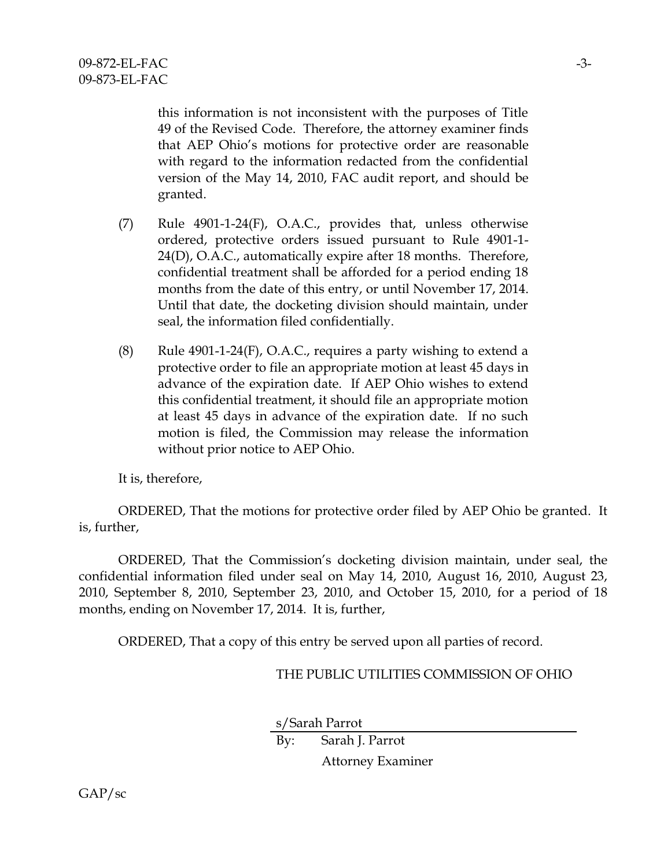this information is not inconsistent with the purposes of Title 49 of the Revised Code. Therefore, the attorney examiner finds that AEP Ohio's motions for protective order are reasonable with regard to the information redacted from the confidential version of the May 14, 2010, FAC audit report, and should be granted.

- (7) Rule 4901-1-24(F), O.A.C., provides that, unless otherwise ordered, protective orders issued pursuant to Rule 4901-1- 24(D), O.A.C., automatically expire after 18 months. Therefore, confidential treatment shall be afforded for a period ending 18 months from the date of this entry, or until November 17, 2014. Until that date, the docketing division should maintain, under seal, the information filed confidentially.
- (8) Rule  $4901$ -1-24(F), O.A.C., requires a party wishing to extend a protective order to file an appropriate motion at least 45 days in advance of the expiration date. If AEP Ohio wishes to extend this confidential treatment, it should file an appropriate motion at least 45 days in advance of the expiration date. If no such motion is filed, the Commission may release the information without prior notice to AEP Ohio.

It is, therefore,

ORDERED, That the motions for protective order filed by AEP Ohio be granted. It is, further,

ORDERED, That the Commission's docketing division maintain, under seal, the confidential information filed under seal on May 14, 2010, August 16, 2010, August 23, 2010, September 8, 2010, September 23, 2010, and October 15, 2010, for a period of 18 months, ending on November 17, 2014. It is, further,

ORDERED, That a copy of this entry be served upon all parties of record.

# THE PUBLIC UTILITIES COMMISSION OF OHIO

s/Sarah Parrot

By: Sarah J. Parrot Attorney Examiner